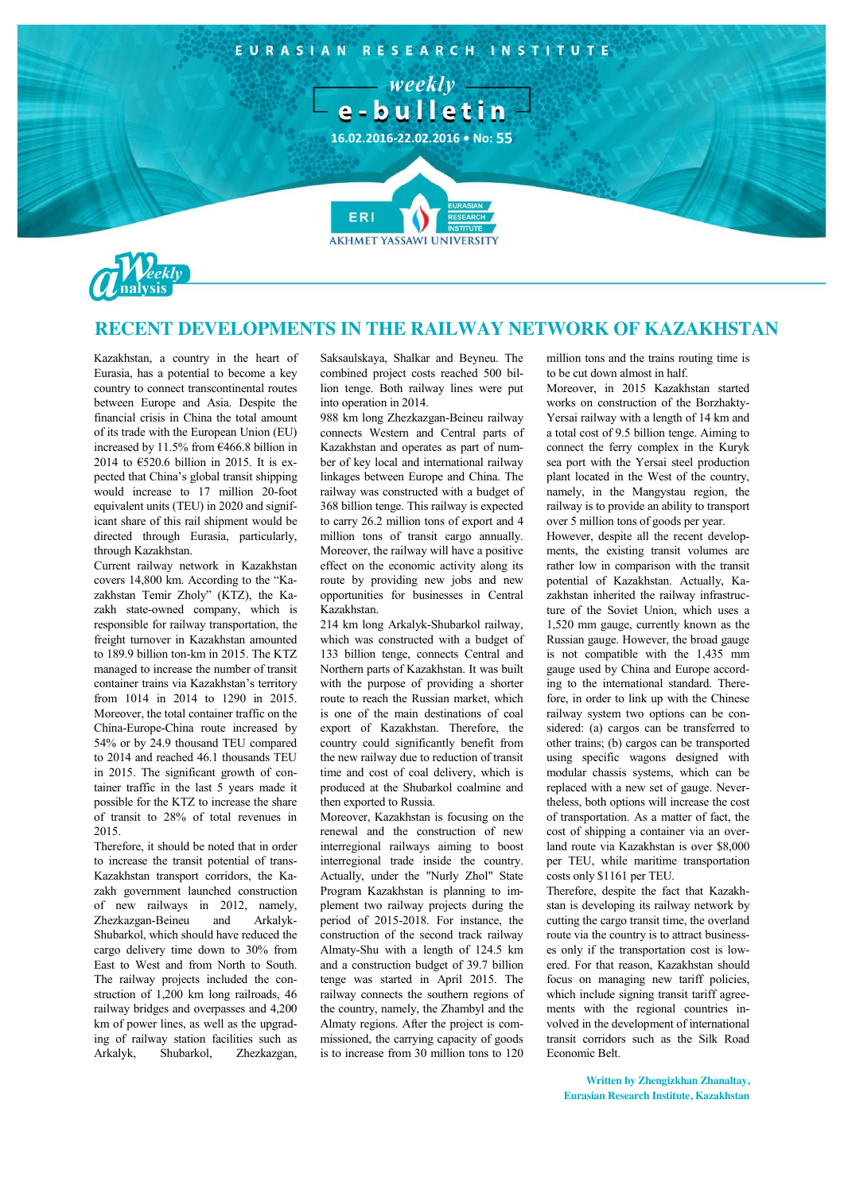



## **RECENT DEVELOPMENTS IN THE RAILWAY NETWORK OF KAZAKHSTAN**

Kazakhstan, a country in the heart of Eurasia, has a potential to become a key country to connect transcontinental routes between Europe and Asia. Despite the financial crisis in China the total amount of its trade with the European Union (EU) increased by 11.5% from €466.8 billion in 2014 to €520.6 billion in 2015. It is expected that China's global transit shipping would increase to 17 million 20-foot equivalent units (TEU) in 2020 and significant share of this rail shipment would be directed through Eurasia, particularly, through Kazakhstan.

Current railway network in Kazakhstan covers 14,800 km. According to the "Kazakhstan Temir Zholy" (KTZ), the Kazakh state-owned company, which is responsible for railway transportation, the freight turnover in Kazakhstan amounted to 189.9 billion ton-km in 2015. The KTZ managed to increase the number of transit container trains via Kazakhstan's territory from 1014 in 2014 to 1290 in 2015. Moreover, the total container traffic on the China-Europe-China route increased by 54% or by 24.9 thousand TEU compared to 2014 and reached 46.1 thousands TEU in 2015. The significant growth of container traffic in the last 5 years made it possible for the KTZ to increase the share of transit to 28% of total revenues in 2015.

Therefore, it should be noted that in order to increase the transit potential of trans-Kazakhstan transport corridors, the Kazakh government launched construction of new railways in 2012, namely, Zhezkazgan-Beineu and Arkalyk-Shubarkol, which should have reduced the cargo delivery time down to 30% from East to West and from North to South. The railway projects included the construction of 1,200 km long railroads, 46 railway bridges and overpasses and 4,200 km of power lines, as well as the upgrading of railway station facilities such as Arkalyk, Shubarkol, Zhezkazgan, Saksaulskaya, Shalkar and Beyneu. The combined project costs reached 500 billion tenge. Both railway lines were put into operation in 2014.

988 km long Zhezkazgan-Beineu railway connects Western and Central parts of Kazakhstan and operates as part of number of key local and international railway linkages between Europe and China. The railway was constructed with a budget of 368 billion tenge. This railway is expected to carry 26.2 million tons of export and 4 million tons of transit cargo annually. Moreover, the railway will have a positive effect on the economic activity along its route by providing new jobs and new opportunities for businesses in Central Kazakhstan.

214 km long Arkalyk-Shubarkol railway, which was constructed with a budget of 133 billion tenge, connects Central and Northern parts of Kazakhstan. It was built with the purpose of providing a shorter route to reach the Russian market, which is one of the main destinations of coal export of Kazakhstan. Therefore, the country could significantly benefit from the new railway due to reduction of transit time and cost of coal delivery, which is produced at the Shubarkol coalmine and then exported to Russia.

Moreover, Kazakhstan is focusing on the renewal and the construction of new interregional railways aiming to boost interregional trade inside the country. Actually, under the "Nurly Zhol" State Program Kazakhstan is planning to implement two railway projects during the period of 2015-2018. For instance, the construction of the second track railway Almaty-Shu with a length of 124.5 km and a construction budget of 39.7 billion tenge was started in April 2015. The railway connects the southern regions of the country, namely, the Zhambyl and the Almaty regions. After the project is commissioned, the carrying capacity of goods is to increase from 30 million tons to 120

million tons and the trains routing time is to be cut down almost in half.

Moreover, in 2015 Kazakhstan started works on construction of the Borzhakty-Yersai railway with a length of 14 km and a total cost of 9.5 billion tenge. Aiming to connect the ferry complex in the Kuryk sea port with the Yersai steel production plant located in the West of the country, namely, in the Mangystau region, the railway is to provide an ability to transport over 5 million tons of goods per year.

However, despite all the recent developments, the existing transit volumes are rather low in comparison with the transit potential of Kazakhstan. Actually, Kazakhstan inherited the railway infrastructure of the Soviet Union, which uses a 1,520 mm gauge, currently known as the Russian gauge. However, the broad gauge is not compatible with the 1,435 mm gauge used by China and Europe according to the international standard. Therefore, in order to link up with the Chinese railway system two options can be considered: (a) cargos can be transferred to other trains; (b) cargos can be transported using specific wagons designed with modular chassis systems, which can be replaced with a new set of gauge. Nevertheless, both options will increase the cost of transportation. As a matter of fact, the cost of shipping a container via an overland route via Kazakhstan is over \$8,000 per TEU, while maritime transportation costs only \$1161 per TEU.

Therefore, despite the fact that Kazakhstan is developing its railway network by cutting the cargo transit time, the overland route via the country is to attract businesses only if the transportation cost is lowered. For that reason, Kazakhstan should focus on managing new tariff policies, which include signing transit tariff agreements with the regional countries involved in the development of international transit corridors such as the Silk Road Economic Belt.

**Written by Zhengizkhan Zhanaltay, Eurasian Research Institute, Kazakhstan**